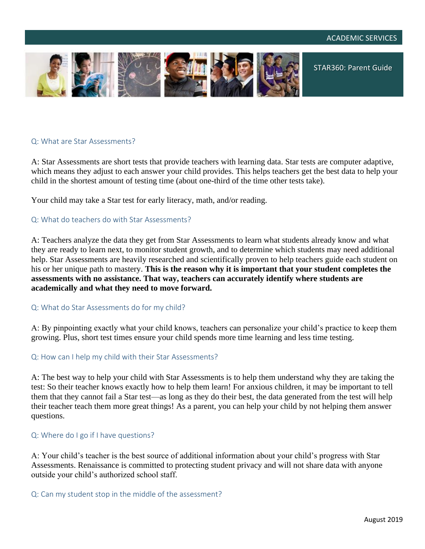

# Q: What are Star Assessments?

A: Star Assessments are short tests that provide teachers with learning data. Star tests are computer adaptive, which means they adjust to each answer your child provides. This helps teachers get the best data to help your child in the shortest amount of testing time (about one-third of the time other tests take).

Your child may take a Star test for early literacy, math, and/or reading.

## Q: What do teachers do with Star Assessments?

A: Teachers analyze the data they get from Star Assessments to learn what students already know and what they are ready to learn next, to monitor student growth, and to determine which students may need additional help. Star Assessments are heavily researched and scientifically proven to help teachers guide each student on his or her unique path to mastery. **This is the reason why it is important that your student completes the assessments with no assistance. That way, teachers can accurately identify where students are academically and what they need to move forward.**

### Q: What do Star Assessments do for my child?

A: By pinpointing exactly what your child knows, teachers can personalize your child's practice to keep them growing. Plus, short test times ensure your child spends more time learning and less time testing.

### Q: How can I help my child with their Star Assessments?

A: The best way to help your child with Star Assessments is to help them understand why they are taking the test: So their teacher knows exactly how to help them learn! For anxious children, it may be important to tell them that they cannot fail a Star test—as long as they do their best, the data generated from the test will help their teacher teach them more great things! As a parent, you can help your child by not helping them answer questions.

### Q: Where do I go if I have questions?

A: Your child's teacher is the best source of additional information about your child's progress with Star Assessments. Renaissance is committed to protecting student privacy and will not share data with anyone outside your child's authorized school staff.

### Q: Can my student stop in the middle of the assessment?